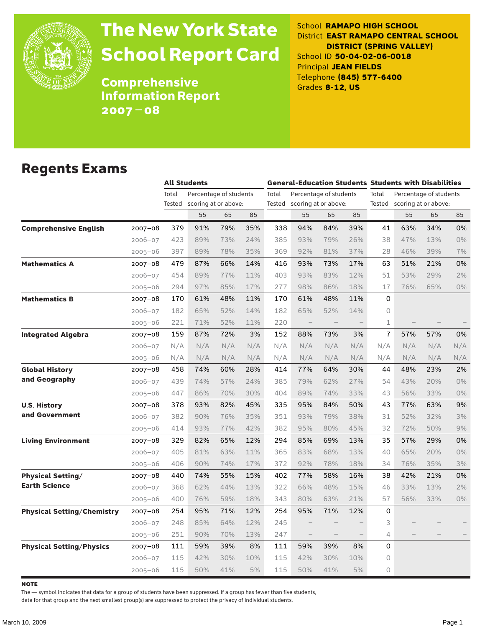

# The New York State School Report Card

School **RAMAPO HIGH SCHOOL** District **EAST RAMAPO CENTRAL SCHOOL DISTRICT (SPRING VALLEY)** School ID **50-04-02-06-0018** Principal **JEAN FIELDS** Telephone **(845) 577-6400** Grades **8-12, US**

**Comprehensive** Information Report 2007–08

### Regents Exams

|                                   |             | <b>All Students</b> |                         |     |     | <b>General-Education Students Students with Disabilities</b> |                        |     |     |                |                        |     |       |  |
|-----------------------------------|-------------|---------------------|-------------------------|-----|-----|--------------------------------------------------------------|------------------------|-----|-----|----------------|------------------------|-----|-------|--|
|                                   |             | Total               | Percentage of students  |     |     | Total                                                        | Percentage of students |     |     | Total          | Percentage of students |     |       |  |
|                                   |             | Tested              | scoring at or above:    |     |     | Tested                                                       | scoring at or above:   |     |     | Tested         | scoring at or above:   |     |       |  |
|                                   |             |                     | 55                      | 65  | 85  |                                                              | 55                     | 65  | 85  |                | 55                     | 65  | 85    |  |
| <b>Comprehensive English</b>      | $2007 - 08$ | 379                 | 91%                     | 79% | 35% | 338                                                          | 94%                    | 84% | 39% | 41             | 63%                    | 34% | 0%    |  |
|                                   | $2006 - 07$ | 423                 | 89%                     | 73% | 24% | 385                                                          | 93%                    | 79% | 26% | 38             | 47%                    | 13% | 0%    |  |
|                                   | $2005 - 06$ | 397                 | 89%                     | 78% | 35% | 369                                                          | 92%                    | 81% | 37% | 28             | 46%                    | 39% | 7%    |  |
| <b>Mathematics A</b>              | $2007 - 08$ | 479                 | 87%                     | 66% | 14% | 416                                                          | 93%                    | 73% | 17% | 63             | 51%                    | 21% | 0%    |  |
|                                   | $2006 - 07$ | 454                 | 89%                     | 77% | 11% | 403                                                          | 93%                    | 83% | 12% | 51             | 53%                    | 29% | 2%    |  |
|                                   | $2005 - 06$ | 294                 | 97%                     | 85% | 17% | 277                                                          | 98%                    | 86% | 18% | 17             | 76%                    | 65% | $0\%$ |  |
| <b>Mathematics B</b>              | $2007 - 08$ | 170                 | 61%                     | 48% | 11% | 170                                                          | 61%                    | 48% | 11% | 0              |                        |     |       |  |
|                                   | $2006 - 07$ | 182                 | 65%                     | 52% | 14% | 182                                                          | 65%                    | 52% | 14% | $\circ$        |                        |     |       |  |
|                                   | $2005 - 06$ | 221                 | 71%                     | 52% | 11% | 220                                                          | $\qquad \qquad -$      |     |     | 1              |                        |     |       |  |
| <b>Integrated Algebra</b>         | 2007-08     | 159                 | 87%                     | 72% | 3%  | 152                                                          | 88%                    | 73% | 3%  | $\overline{1}$ | 57%                    | 57% | 0%    |  |
|                                   | $2006 - 07$ | N/A                 | N/A                     | N/A | N/A | N/A                                                          | N/A                    | N/A | N/A | N/A            | N/A                    | N/A | N/A   |  |
|                                   | $2005 - 06$ | N/A                 | $\mathsf{N}/\mathsf{A}$ | N/A | N/A | N/A                                                          | N/A                    | N/A | N/A | N/A            | N/A                    | N/A | N/A   |  |
| <b>Global History</b>             | $2007 - 08$ | 458                 | 74%                     | 60% | 28% | 414                                                          | 77%                    | 64% | 30% | 44             | 48%                    | 23% | 2%    |  |
| and Geography                     | $2006 - 07$ | 439                 | 74%                     | 57% | 24% | 385                                                          | 79%                    | 62% | 27% | 54             | 43%                    | 20% | 0%    |  |
|                                   | $2005 - 06$ | 447                 | 86%                     | 70% | 30% | 404                                                          | 89%                    | 74% | 33% | 43             | 56%                    | 33% | 0%    |  |
| <b>U.S. History</b>               | 2007-08     | 378                 | 93%                     | 82% | 45% | 335                                                          | 95%                    | 84% | 50% | 43             | 77%                    | 63% | 9%    |  |
| and Government                    | $2006 - 07$ | 382                 | 90%                     | 76% | 35% | 351                                                          | 93%                    | 79% | 38% | 31             | 52%                    | 32% | 3%    |  |
|                                   | $2005 - 06$ | 414                 | 93%                     | 77% | 42% | 382                                                          | 95%                    | 80% | 45% | 32             | 72%                    | 50% | 9%    |  |
| <b>Living Environment</b>         | 2007-08     | 329                 | 82%                     | 65% | 12% | 294                                                          | 85%                    | 69% | 13% | 35             | 57%                    | 29% | 0%    |  |
|                                   | $2006 - 07$ | 405                 | 81%                     | 63% | 11% | 365                                                          | 83%                    | 68% | 13% | 40             | 65%                    | 20% | 0%    |  |
|                                   | $2005 - 06$ | 406                 | 90%                     | 74% | 17% | 372                                                          | 92%                    | 78% | 18% | 34             | 76%                    | 35% | 3%    |  |
| <b>Physical Setting/</b>          | $2007 - 08$ | 440                 | 74%                     | 55% | 15% | 402                                                          | 77%                    | 58% | 16% | 38             | 42%                    | 21% | 0%    |  |
| <b>Earth Science</b>              | $2006 - 07$ | 368                 | 62%                     | 44% | 13% | 322                                                          | 66%                    | 48% | 15% | 46             | 33%                    | 13% | 2%    |  |
|                                   | $2005 - 06$ | 400                 | 76%                     | 59% | 18% | 343                                                          | 80%                    | 63% | 21% | 57             | 56%                    | 33% | 0%    |  |
| <b>Physical Setting/Chemistry</b> | $2007 - 08$ | 254                 | 95%                     | 71% | 12% | 254                                                          | 95%                    | 71% | 12% | 0              |                        |     |       |  |
|                                   | $2006 - 07$ | 248                 | 85%                     | 64% | 12% | 245                                                          |                        |     |     | 3              |                        |     |       |  |
|                                   | $2005 - 06$ | 251                 | 90%                     | 70% | 13% | 247                                                          |                        |     |     | 4              |                        |     |       |  |
| <b>Physical Setting/Physics</b>   | 2007-08     | 111                 | 59%                     | 39% | 8%  | 111                                                          | 59%                    | 39% | 8%  | 0              |                        |     |       |  |
|                                   | $2006 - 07$ | 115                 | 42%                     | 30% | 10% | 115                                                          | 42%                    | 30% | 10% | 0              |                        |     |       |  |
|                                   | $2005 - 06$ | 115                 | 50%                     | 41% | 5%  | 115                                                          | 50%                    | 41% | 5%  | 0              |                        |     |       |  |

**NOTE** 

The — symbol indicates that data for a group of students have been suppressed. If a group has fewer than five students,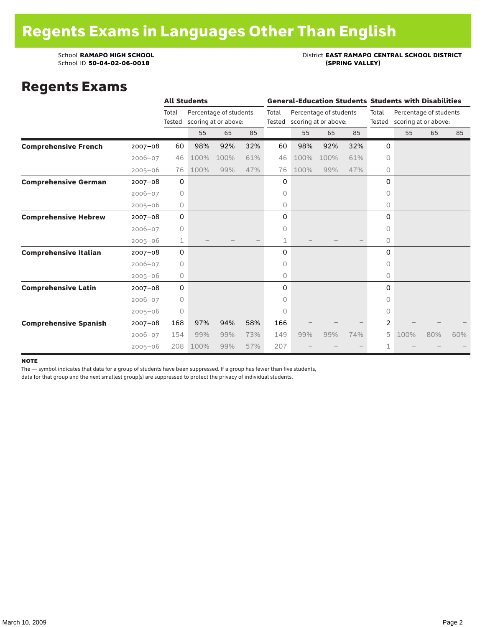### School **RAMAPO HIGH SCHOOL**<br>School ID 50-04-02-06-0018<br>(SPRING VALLEY)

### Regents Exams

|                              |             |             | <b>All Students</b> |                        |     |                                | <b>General-Education Students Students with Disabilities</b> |                        |     |                             |                        |     |     |  |
|------------------------------|-------------|-------------|---------------------|------------------------|-----|--------------------------------|--------------------------------------------------------------|------------------------|-----|-----------------------------|------------------------|-----|-----|--|
|                              |             | Total       |                     | Percentage of students |     | Total                          |                                                              | Percentage of students |     | Total                       | Percentage of students |     |     |  |
|                              |             | Tested      |                     | scoring at or above:   |     | scoring at or above:<br>Tested |                                                              |                        |     | Tested scoring at or above: |                        |     |     |  |
|                              |             |             | 55                  | 65                     | 85  |                                | 55                                                           | 65                     | 85  |                             | 55                     | 65  | 85  |  |
| <b>Comprehensive French</b>  | $2007 - 08$ | 60          | 98%                 | 92%                    | 32% | 60                             | 98%                                                          | 92%                    | 32% | 0                           |                        |     |     |  |
|                              | $2006 - 07$ | 46          | 100%                | 100%                   | 61% | 46                             | 100%                                                         | 100%                   | 61% | $\Omega$                    |                        |     |     |  |
|                              | $2005 - 06$ | 76          | 100%                | 99%                    | 47% | 76                             | 100%                                                         | 99%                    | 47% | 0                           |                        |     |     |  |
| <b>Comprehensive German</b>  | $2007 - 08$ | 0           |                     |                        |     | 0                              |                                                              |                        |     | 0                           |                        |     |     |  |
|                              | $2006 - 07$ | $\circ$     |                     |                        |     | 0                              |                                                              |                        |     | 0                           |                        |     |     |  |
|                              | $2005 - 06$ | $\circ$     |                     |                        |     | 0                              |                                                              |                        |     | 0                           |                        |     |     |  |
| <b>Comprehensive Hebrew</b>  | $2007 - 08$ | $\mathbf 0$ |                     |                        |     | 0                              |                                                              |                        |     | 0                           |                        |     |     |  |
|                              | $2006 - 07$ | $\circ$     |                     |                        |     | 0                              |                                                              |                        |     | $\circ$                     |                        |     |     |  |
|                              | $2005 - 06$ | 1           |                     |                        |     | 1                              |                                                              |                        |     | 0                           |                        |     |     |  |
| <b>Comprehensive Italian</b> | $2007 - 08$ | $\mathbf 0$ |                     |                        |     | 0                              |                                                              |                        |     | 0                           |                        |     |     |  |
|                              | $2006 - 07$ | $\circ$     |                     |                        |     | 0                              |                                                              |                        |     | 0                           |                        |     |     |  |
|                              | $2005 - 06$ | 0           |                     |                        |     | 0                              |                                                              |                        |     | $\circ$                     |                        |     |     |  |
| <b>Comprehensive Latin</b>   | $2007 - 08$ | $\mathbf 0$ |                     |                        |     | 0                              |                                                              |                        |     | 0                           |                        |     |     |  |
|                              | $2006 - 07$ | $\circ$     |                     |                        |     | 0                              |                                                              |                        |     | 0                           |                        |     |     |  |
|                              | $2005 - 06$ | 0           |                     |                        |     | 0                              |                                                              |                        |     | 0                           |                        |     |     |  |
| <b>Comprehensive Spanish</b> | $2007 - 08$ | 168         | 97%                 | 94%                    | 58% | 166                            |                                                              |                        |     | 2                           |                        |     |     |  |
|                              | $2006 - 07$ | 154         | 99%                 | 99%                    | 73% | 149                            | 99%                                                          | 99%                    | 74% | 5                           | 100%                   | 80% | 60% |  |
|                              | $2005 - 06$ | 208         | 100%                | 99%                    | 57% | 207                            |                                                              |                        |     | 1                           |                        |     |     |  |

#### note

The — symbol indicates that data for a group of students have been suppressed. If a group has fewer than five students,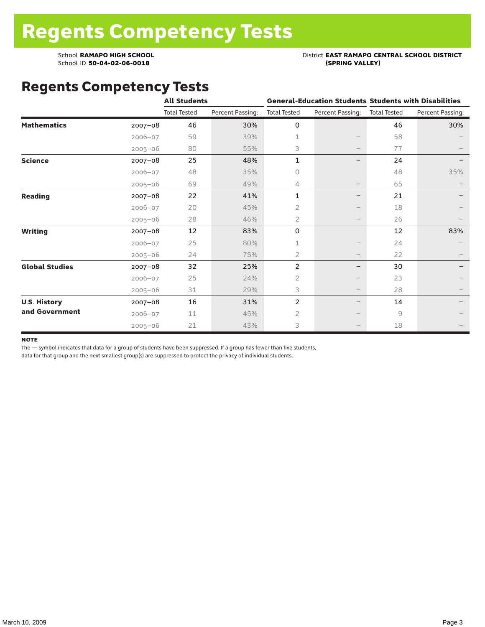### School **RAMAPO HIGH SCHOOL**<br>School ID 50-04-02-06-0018<br>(SPRING VALLEY)

## Regents Competency Tests

|                       |             | <b>All Students</b> |                  |                     | <b>General-Education Students Students with Disabilities</b> |                     |                  |
|-----------------------|-------------|---------------------|------------------|---------------------|--------------------------------------------------------------|---------------------|------------------|
|                       |             | <b>Total Tested</b> | Percent Passing: | <b>Total Tested</b> | Percent Passing:                                             | <b>Total Tested</b> | Percent Passing: |
| <b>Mathematics</b>    | $2007 - 08$ | 46                  | 30%              | 0                   |                                                              | 46                  | 30%              |
|                       | $2006 - 07$ | 59                  | 39%              | 1                   |                                                              | 58                  |                  |
|                       | $2005 - 06$ | 80                  | 55%              | 3                   | $\qquad \qquad -$                                            | 77                  |                  |
| <b>Science</b>        | $2007 - 08$ | 25                  | 48%              | $\mathbf{1}$        |                                                              | 24                  |                  |
|                       | $2006 - 07$ | 48                  | 35%              | $\circ$             |                                                              | 48                  | 35%              |
|                       | $2005 - 06$ | 69                  | 49%              | 4                   |                                                              | 65                  |                  |
| <b>Reading</b>        | $2007 - 08$ | 22                  | 41%              | 1                   | -                                                            | 21                  |                  |
|                       | $2006 - 07$ | 20                  | 45%              | $\overline{2}$      |                                                              | 18                  |                  |
|                       | $2005 - 06$ | 28                  | 46%              | $\overline{2}$      |                                                              | 26                  |                  |
| <b>Writing</b>        | $2007 - 08$ | 12                  | 83%              | 0                   |                                                              | 12                  | 83%              |
|                       | $2006 - 07$ | 25                  | 80%              | 1                   |                                                              | 24                  |                  |
|                       | $2005 - 06$ | 24                  | 75%              | 2                   | $\hspace{0.1mm}-\hspace{0.1mm}$                              | 22                  |                  |
| <b>Global Studies</b> | $2007 - 08$ | 32                  | 25%              | 2                   | —                                                            | 30                  |                  |
|                       | $2006 - 07$ | 25                  | 24%              | 2                   | $\qquad \qquad -$                                            | 23                  |                  |
|                       | $2005 - 06$ | 31                  | 29%              | 3                   | $\hspace{0.1mm}-\hspace{0.1mm}$                              | 28                  |                  |
| <b>U.S. History</b>   | $2007 - 08$ | 16                  | 31%              | $\overline{c}$      | —                                                            | 14                  |                  |
| and Government        | $2006 - 07$ | 11                  | 45%              | 2                   |                                                              | 9                   |                  |
|                       | $2005 - 06$ | 21                  | 43%              | 3                   |                                                              | 18                  |                  |

#### **NOTE**

The — symbol indicates that data for a group of students have been suppressed. If a group has fewer than five students,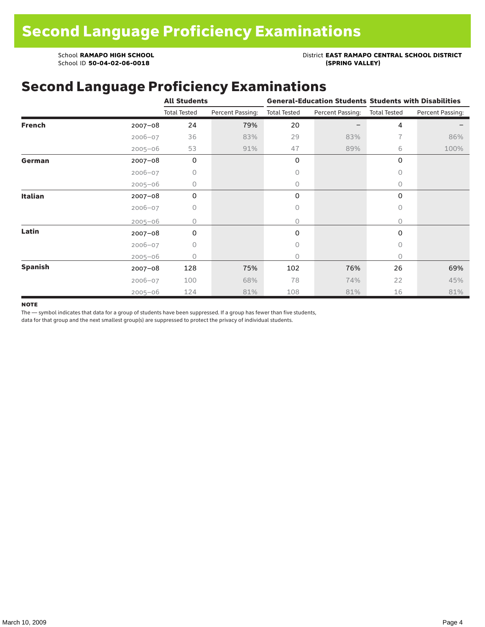School **RAMAPO HIGH SCHOOL**<br>School ID 50-04-02-06-0018<br>(SPRING VALLEY)

School ID 50-04-02-06-0018

### Second Language Proficiency Examinations

|                |             | <b>All Students</b> |                  | <b>General-Education Students Students with Disabilities</b> |                  |                     |                  |
|----------------|-------------|---------------------|------------------|--------------------------------------------------------------|------------------|---------------------|------------------|
|                |             | <b>Total Tested</b> | Percent Passing: | <b>Total Tested</b>                                          | Percent Passing: | <b>Total Tested</b> | Percent Passing: |
| <b>French</b>  | $2007 - 08$ | 24                  | 79%              | 20                                                           |                  | 4                   |                  |
|                | $2006 - 07$ | 36                  | 83%              | 29                                                           | 83%              | 7                   | 86%              |
|                | $2005 - 06$ | 53                  | 91%              | 47                                                           | 89%              | 6                   | 100%             |
| German         | $2007 - 08$ | 0                   |                  | 0                                                            |                  | 0                   |                  |
|                | $2006 - 07$ | 0                   |                  | 0                                                            |                  | $\Omega$            |                  |
|                | $2005 - 06$ | 0                   |                  | $\circ$                                                      |                  | 0                   |                  |
| <b>Italian</b> | $2007 - 08$ | 0                   |                  | 0                                                            |                  | 0                   |                  |
|                | $2006 - 07$ | 0                   |                  | 0                                                            |                  | $\circ$             |                  |
|                | $2005 - 06$ | 0                   |                  | 0                                                            |                  | $\circ$             |                  |
| Latin          | $2007 - 08$ | 0                   |                  | 0                                                            |                  | 0                   |                  |
|                | $2006 - 07$ | 0                   |                  | 0                                                            |                  | $\circ$             |                  |
|                | $2005 - 06$ | 0                   |                  | 0                                                            |                  | $\Omega$            |                  |
| <b>Spanish</b> | $2007 - 08$ | 128                 | 75%              | 102                                                          | 76%              | 26                  | 69%              |
|                | $2006 - 07$ | 100                 | 68%              | 78                                                           | 74%              | 22                  | 45%              |
|                | $2005 - 06$ | 124                 | 81%              | 108                                                          | 81%              | 16                  | 81%              |

#### **NOTE**

The — symbol indicates that data for a group of students have been suppressed. If a group has fewer than five students,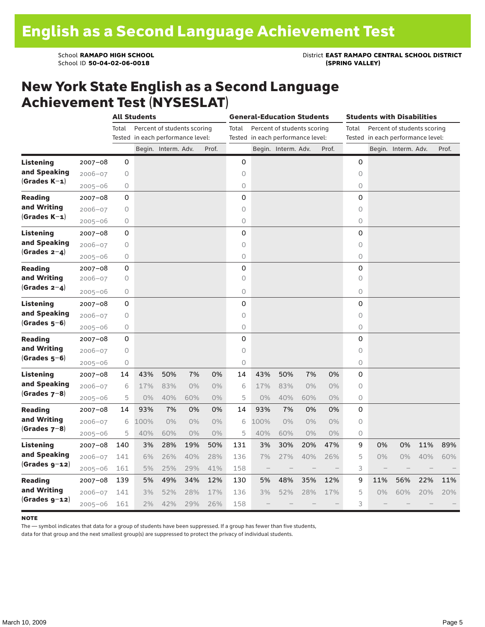School **RAMAPO HIGH SCHOOL**<br>School ID 50-04-02-06-0018<br>(SPRING VALLEY)

### New York State English as a Second Language Achievement Test (NYSESLAT)

|                  |             | <b>All Students</b> |                                   |                             |       | <b>General-Education Students</b> |             |                                   |                             | <b>Students with Disabilities</b> |       |         |                                   |                     |     |       |
|------------------|-------------|---------------------|-----------------------------------|-----------------------------|-------|-----------------------------------|-------------|-----------------------------------|-----------------------------|-----------------------------------|-------|---------|-----------------------------------|---------------------|-----|-------|
|                  |             | Total               |                                   | Percent of students scoring |       |                                   | Total       |                                   | Percent of students scoring |                                   |       | Total   | Percent of students scoring       |                     |     |       |
|                  |             |                     | Tested in each performance level: |                             |       |                                   |             | Tested in each performance level: |                             |                                   |       |         | Tested in each performance level: |                     |     |       |
|                  |             |                     |                                   | Begin. Interm. Adv.         |       | Prof.                             |             |                                   | Begin. Interm. Adv.         |                                   | Prof. |         |                                   | Begin. Interm. Adv. |     | Prof. |
| <b>Listening</b> | $2007 - 08$ | 0                   |                                   |                             |       |                                   | 0           |                                   |                             |                                   |       | 0       |                                   |                     |     |       |
| and Speaking     | $2006 - 07$ | $\circ$             |                                   |                             |       |                                   | $\circ$     |                                   |                             |                                   |       | $\circ$ |                                   |                     |     |       |
| $(Grades K-1)$   | $2005 - 06$ | 0                   |                                   |                             |       |                                   | 0           |                                   |                             |                                   |       | 0       |                                   |                     |     |       |
| <b>Reading</b>   | $2007 - 08$ | 0                   |                                   |                             |       |                                   | 0           |                                   |                             |                                   |       | 0       |                                   |                     |     |       |
| and Writing      | $2006 - 07$ | 0                   |                                   |                             |       |                                   | 0           |                                   |                             |                                   |       | 0       |                                   |                     |     |       |
| $(Grades K-1)$   | $2005 - 06$ | 0                   |                                   |                             |       |                                   | 0           |                                   |                             |                                   |       | 0       |                                   |                     |     |       |
| <b>Listening</b> | $2007 - 08$ | 0                   |                                   |                             |       |                                   | 0           |                                   |                             |                                   |       | 0       |                                   |                     |     |       |
| and Speaking     | $2006 - 07$ | 0                   |                                   |                             |       |                                   | 0           |                                   |                             |                                   |       | $\circ$ |                                   |                     |     |       |
| (Grades $2-4$ )  | $2005 - 06$ | 0                   |                                   |                             |       |                                   | 0           |                                   |                             |                                   |       | 0       |                                   |                     |     |       |
| <b>Reading</b>   | $2007 - 08$ | 0                   |                                   |                             |       |                                   | 0           |                                   |                             |                                   |       | 0       |                                   |                     |     |       |
| and Writing      | $2006 - 07$ | 0                   |                                   |                             |       |                                   | $\Omega$    |                                   |                             |                                   |       | $\circ$ |                                   |                     |     |       |
| $(Grades 2-4)$   | $2005 - 06$ | 0                   |                                   |                             |       |                                   | $\mathsf O$ |                                   |                             |                                   |       | 0       |                                   |                     |     |       |
| Listening        | $2007 - 08$ | 0                   |                                   |                             |       |                                   | 0           |                                   |                             |                                   |       | 0       |                                   |                     |     |       |
| and Speaking     | $2006 - 07$ | $\bigcirc$          |                                   |                             |       |                                   | 0           |                                   |                             |                                   |       | $\circ$ |                                   |                     |     |       |
| $(Grades 5-6)$   | 2005-06     | $\circ$             |                                   |                             |       |                                   | 0           |                                   |                             |                                   |       | $\circ$ |                                   |                     |     |       |
| <b>Reading</b>   | $2007 - 08$ | 0                   |                                   |                             |       |                                   | 0           |                                   |                             |                                   |       | 0       |                                   |                     |     |       |
| and Writing      | $2006 - 07$ | 0                   |                                   |                             |       |                                   | 0           |                                   |                             |                                   |       | $\circ$ |                                   |                     |     |       |
| (Grades 5–6)     | $2005 - 06$ | 0                   |                                   |                             |       |                                   | 0           |                                   |                             |                                   |       | 0       |                                   |                     |     |       |
| Listening        | $2007 - 08$ | 14                  | 43%                               | 50%                         | 7%    | 0%                                | 14          | 43%                               | 50%                         | 7%                                | 0%    | 0       |                                   |                     |     |       |
| and Speaking     | $2006 - 07$ | 6                   | 17%                               | 83%                         | $0\%$ | $0\%$                             | 6           | 17%                               | 83%                         | $0\%$                             | $0\%$ | 0       |                                   |                     |     |       |
| $(Grades 7-8)$   | $2005 - 06$ | 5                   | 0%                                | 40%                         | 60%   | $0\%$                             | 5           | $0\%$                             | 40%                         | 60%                               | $0\%$ | 0       |                                   |                     |     |       |
| <b>Reading</b>   | $2007 - 08$ | 14                  | 93%                               | 7%                          | 0%    | 0%                                | 14          | 93%                               | 7%                          | 0%                                | 0%    | 0       |                                   |                     |     |       |
| and Writing      | $2006 - 07$ | 6                   | 100%                              | $0\%$                       | $0\%$ | 0%                                | 6           | 100%                              | 0%                          | 0%                                | 0%    | $\circ$ |                                   |                     |     |       |
| $(Grades 7-8)$   | $2005 - 06$ | 5                   | 40%                               | 60%                         | $0\%$ | $0\%$                             | 5           | 40%                               | 60%                         | 0%                                | 0%    | 0       |                                   |                     |     |       |
| <b>Listening</b> | $2007 - 08$ | 140                 | 3%                                | 28%                         | 19%   | 50%                               | 131         | 3%                                | 30%                         | 20%                               | 47%   | 9       | 0%                                | 0%                  | 11% | 89%   |
| and Speaking     | $2006 - 07$ | 141                 | 6%                                | 26%                         | 40%   | 28%                               | 136         | 7%                                | 27%                         | 40%                               | 26%   | 5       | 0%                                | 0%                  | 40% | 60%   |
| (Grades g-12)    | $2005 - 06$ | 161                 | 5%                                | 25%                         | 29%   | 41%                               | 158         |                                   |                             |                                   |       | 3       |                                   |                     |     |       |
| <b>Reading</b>   | $2007 - 08$ | 139                 | 5%                                | 49%                         | 34%   | 12%                               | 130         | 5%                                | 48%                         | 35%                               | 12%   | 9       | 11%                               | 56%                 | 22% | 11%   |
| and Writing      | $2006 - 07$ | 141                 | 3%                                | 52%                         | 28%   | 17%                               | 136         | 3%                                | 52%                         | 28%                               | 17%   | 5       | 0%                                | 60%                 | 20% | 20%   |
| $(Grades g-12)$  | $2005 - 06$ | 161                 | 2%                                | 42%                         | 29%   | 26%                               | 158         |                                   |                             |                                   |       | 3       |                                   |                     |     |       |

#### **NOTE**

The — symbol indicates that data for a group of students have been suppressed. If a group has fewer than five students,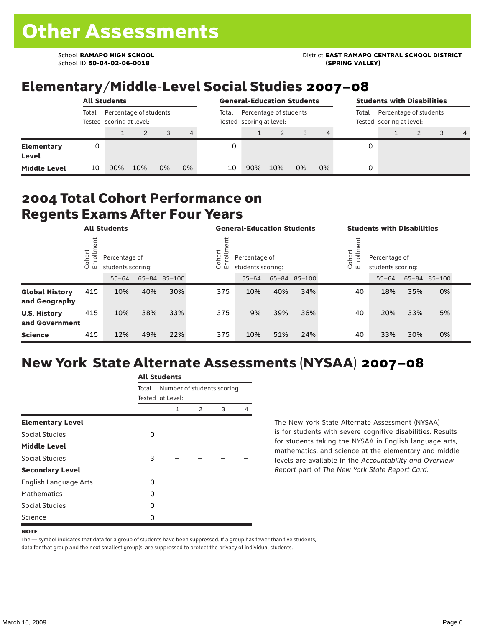School ID **50-04-02-06-0018 (SPRING VALLEY)**

School **RAMAPO HIGH SCHOOL** District **EAST RAMAPO CENTRAL SCHOOL DISTRICT**

# Elementary/Middle-Level Social Studies 2007–08

|                            | <b>All Students</b> |                                                    |     |    |                |                                                    | <b>General-Education Students</b> |     |                                                             |    |   | <b>Students with Disabilities</b> |  |  |   |  |
|----------------------------|---------------------|----------------------------------------------------|-----|----|----------------|----------------------------------------------------|-----------------------------------|-----|-------------------------------------------------------------|----|---|-----------------------------------|--|--|---|--|
|                            | Total               | Percentage of students<br>Tested scoring at level: |     |    | Total          | Percentage of students<br>Tested scoring at level: |                                   |     | Percentage of students<br>Total<br>Tested scoring at level: |    |   |                                   |  |  |   |  |
|                            |                     |                                                    |     |    | $\overline{4}$ |                                                    |                                   |     |                                                             |    |   |                                   |  |  | 4 |  |
| <b>Elementary</b><br>Level | 0                   |                                                    |     |    |                |                                                    |                                   |     |                                                             |    | 0 |                                   |  |  |   |  |
| <b>Middle Level</b>        | 10                  | 90%                                                | 10% | 0% | 0%             | 10                                                 | 90%                               | 10% | 0%                                                          | 0% | 0 |                                   |  |  |   |  |

### 2004 Total Cohort Performance on Regents Exams After Four Years

|                                        | <b>All Students</b>    |     |                                                                 |     | <b>General-Education Students</b> |                                                              |           |     |              | <b>Students with Disabilities</b> |                                                         |           |     |              |  |
|----------------------------------------|------------------------|-----|-----------------------------------------------------------------|-----|-----------------------------------|--------------------------------------------------------------|-----------|-----|--------------|-----------------------------------|---------------------------------------------------------|-----------|-----|--------------|--|
|                                        | Cohort<br>$\circ$<br>山 |     | Percentage of<br>students scoring:<br>65-84 85-100<br>$55 - 64$ |     |                                   | Cohort<br>≣<br>Percentage of<br>ò,<br>巴<br>students scoring: |           |     |              |                                   | Cohort<br>Percentage of<br>o,<br>모<br>students scoring: |           |     |              |  |
|                                        |                        |     |                                                                 |     |                                   |                                                              | $55 - 64$ |     | 65-84 85-100 |                                   |                                                         | $55 - 64$ |     | 65-84 85-100 |  |
| <b>Global History</b><br>and Geography | 415                    | 10% | 40%                                                             | 30% |                                   | 375                                                          | 10%       | 40% | 34%          |                                   | 40                                                      | 18%       | 35% | 0%           |  |
| <b>U.S. History</b><br>and Government  | 415                    | 10% | 38%                                                             | 33% |                                   | 375                                                          | 9%        | 39% | 36%          |                                   | 40                                                      | 20%       | 33% | 5%           |  |
| <b>Science</b>                         | 415                    | 12% | 49%                                                             | 22% |                                   | 375                                                          | 10%       | 51% | 24%          |                                   | 40                                                      | 33%       | 30% | 0%           |  |

# New York State Alternate Assessments (NYSAA) 2007–08

|                         | <b>All Students</b> |                                                |               |   |   |  |  |  |  |  |
|-------------------------|---------------------|------------------------------------------------|---------------|---|---|--|--|--|--|--|
|                         | Total               | Number of students scoring<br>Tested at Level: |               |   |   |  |  |  |  |  |
|                         |                     | 1                                              | $\mathcal{P}$ | 3 | 4 |  |  |  |  |  |
| <b>Elementary Level</b> |                     |                                                |               |   |   |  |  |  |  |  |
| Social Studies          | 0                   |                                                |               |   |   |  |  |  |  |  |
| <b>Middle Level</b>     |                     |                                                |               |   |   |  |  |  |  |  |
| Social Studies          | 3                   |                                                |               |   |   |  |  |  |  |  |
| <b>Secondary Level</b>  |                     |                                                |               |   |   |  |  |  |  |  |
| English Language Arts   | ი                   |                                                |               |   |   |  |  |  |  |  |
| <b>Mathematics</b>      | O                   |                                                |               |   |   |  |  |  |  |  |
| <b>Social Studies</b>   | O                   |                                                |               |   |   |  |  |  |  |  |
| Science                 | 0                   |                                                |               |   |   |  |  |  |  |  |

The New York State Alternate Assessment (NYSAA) is for students with severe cognitive disabilities. Results for students taking the NYSAA in English language arts, mathematics, and science at the elementary and middle levels are available in the *Accountability and Overview Report* part of *The New York State Report Card*.

The — symbol indicates that data for a group of students have been suppressed. If a group has fewer than five students, data for that group and the next smallest group(s) are suppressed to protect the privacy of individual students.

**NOTE**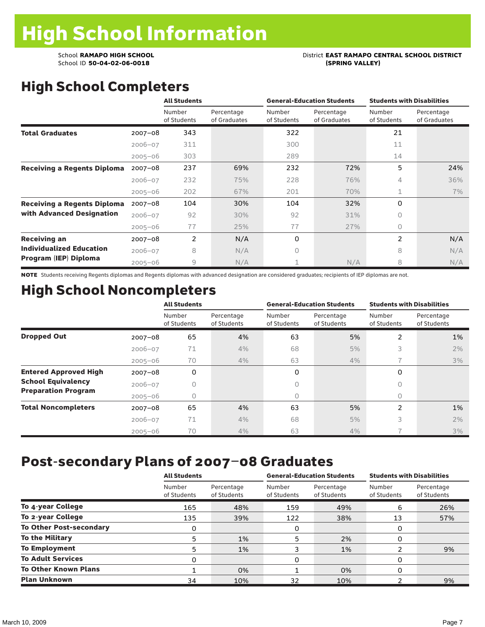# School **RAMAPO HIGH SCHOOL**<br>School ID 50-04-02-06-0018<br>(SPRING VALLEY)

# High School Completers

|                                    |             | <b>All Students</b>   |                            | <b>General-Education Students</b> |                            | <b>Students with Disabilities</b> |                            |
|------------------------------------|-------------|-----------------------|----------------------------|-----------------------------------|----------------------------|-----------------------------------|----------------------------|
|                                    |             | Number<br>of Students | Percentage<br>of Graduates | Number<br>of Students             | Percentage<br>of Graduates | Number<br>of Students             | Percentage<br>of Graduates |
| <b>Total Graduates</b>             | $2007 - 08$ | 343                   |                            | 322                               |                            | 21                                |                            |
|                                    | $2006 - 07$ | 311                   |                            | 300                               |                            | 11                                |                            |
|                                    | $2005 - 06$ | 303                   |                            | 289                               |                            | 14                                |                            |
| <b>Receiving a Regents Diploma</b> | $2007 - 08$ | 237                   | 69%                        | 232                               | 72%                        | 5                                 | 24%                        |
|                                    | $2006 - 07$ | 232                   | 75%                        | 228                               | 76%                        | 4                                 | 36%                        |
|                                    | $2005 - 06$ | 202                   | 67%                        | 201                               | 70%                        | $\mathbf 1$                       | 7%                         |
| <b>Receiving a Regents Diploma</b> | $2007 - 08$ | 104                   | 30%                        | 104                               | 32%                        | 0                                 |                            |
| with Advanced Designation          | $2006 - 07$ | 92                    | 30%                        | 92                                | 31%                        | 0                                 |                            |
|                                    | $2005 - 06$ | 77                    | 25%                        | 77                                | 27%                        | 0                                 |                            |
| <b>Receiving an</b>                | $2007 - 08$ | $\overline{2}$        | N/A                        | 0                                 |                            | 2                                 | N/A                        |
| <b>Individualized Education</b>    | $2006 - 07$ | 8                     | N/A                        | 0                                 |                            | 8                                 | N/A                        |
| Program (IEP) Diploma              | $2005 - 06$ | 9                     | N/A                        |                                   | N/A                        | 8                                 | N/A                        |

NOTE Students receiving Regents diplomas and Regents diplomas with advanced designation are considered graduates; recipients of IEP diplomas are not.

# High School Noncompleters

|                              |             | <b>All Students</b>   |                           |                       | <b>General-Education Students</b> | <b>Students with Disabilities</b> |                           |  |
|------------------------------|-------------|-----------------------|---------------------------|-----------------------|-----------------------------------|-----------------------------------|---------------------------|--|
|                              |             | Number<br>of Students | Percentage<br>of Students | Number<br>of Students | Percentage<br>of Students         | Number<br>of Students             | Percentage<br>of Students |  |
| <b>Dropped Out</b>           | $2007 - 08$ | 65                    | 4%                        | 63                    | 5%                                | 2                                 | 1%                        |  |
|                              | $2006 - 07$ | 71                    | 4%                        | 68                    | 5%                                | 3                                 | 2%                        |  |
|                              | $2005 - 06$ | 70                    | 4%                        | 63                    | 4%                                | $\overline{\phantom{1}}$          | 3%                        |  |
| <b>Entered Approved High</b> | $2007 - 08$ | 0                     |                           | 0                     |                                   | 0                                 |                           |  |
| <b>School Equivalency</b>    | $2006 - 07$ | 0                     |                           | 0                     |                                   | 0                                 |                           |  |
| <b>Preparation Program</b>   | $2005 - 06$ | 0                     |                           | 0                     |                                   | 0                                 |                           |  |
| <b>Total Noncompleters</b>   | $2007 - 08$ | 65                    | 4%                        | 63                    | 5%                                | $\overline{2}$                    | 1%                        |  |
|                              | $2006 - 07$ | 71                    | 4%                        | 68                    | 5%                                | 3                                 | 2%                        |  |
|                              | $2005 - 06$ | 70                    | 4%                        | 63                    | 4%                                |                                   | 3%                        |  |

## Post-secondary Plans of 2007–08 Graduates

|                                | <b>All Students</b>   |                           |                       | <b>General-Education Students</b> | <b>Students with Disabilities</b> |                           |  |
|--------------------------------|-----------------------|---------------------------|-----------------------|-----------------------------------|-----------------------------------|---------------------------|--|
|                                | Number<br>of Students | Percentage<br>of Students | Number<br>of Students | Percentage<br>of Students         | Number<br>of Students             | Percentage<br>of Students |  |
| To 4-year College              | 165                   | 48%                       | 159                   | 49%                               | 6                                 | 26%                       |  |
| To 2-year College              | 135                   | 39%                       | 122                   | 38%                               | 13                                | 57%                       |  |
| <b>To Other Post-secondary</b> | 0                     |                           | 0                     |                                   | 0                                 |                           |  |
| <b>To the Military</b>         | 5                     | 1%                        | 5                     | 2%                                | 0                                 |                           |  |
| <b>To Employment</b>           | 5                     | 1%                        | 3                     | 1%                                | ົ                                 | 9%                        |  |
| <b>To Adult Services</b>       | O                     |                           | 0                     |                                   | 0                                 |                           |  |
| <b>To Other Known Plans</b>    |                       | 0%                        |                       | 0%                                | 0                                 |                           |  |
| <b>Plan Unknown</b>            | 34                    | 10%                       | 32                    | 10%                               |                                   | 9%                        |  |